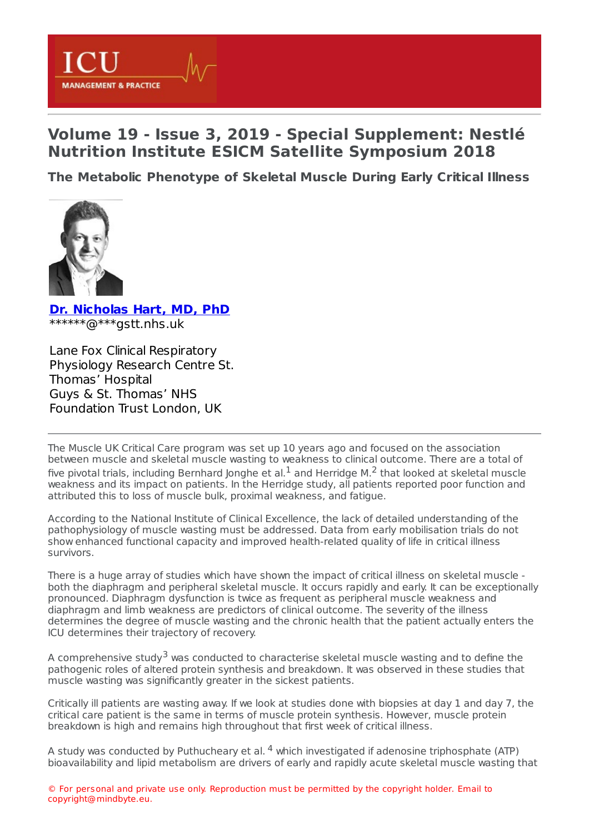

## **Volume 19 - Issue 3, 2019 - Special Supplement: Nestlé Nutrition Institute ESICM Satellite Symposium 2018**

**The Metabolic [Phenotype](https://healthmanagement.org/s/the-metabolic-phenotype-of-skeletal-muscle-during-early-critical-illness-1) of Skeletal Muscle During Early Critical Illness**



**Dr. [Nicholas](https://healthmanagement.org/viewProfile/112412/Nicholas_Hart) Hart, MD, PhD** \*\*\*\*\*\*@\*\*\*gstt.nhs.uk

Lane Fox Clinical Respiratory Physiology Research Centre St. Thomas' Hospital Guys & St. Thomas' NHS Foundation Trust London, UK

The Muscle UK Critical Care program was set up 10 years ago and focused on the association between muscle and skeletal muscle wasting to weakness to clinical outcome. There are a total of five pivotal trials, including Bernhard Jonghe et al.<sup>1</sup> and Herridge M.<sup>2</sup> that looked at skeletal muscle weakness and its impact on patients. In the Herridge study, all patients reported poor function and attributed this to loss of muscle bulk, proximal weakness, and fatigue.

According to the National Institute of Clinical Excellence, the lack of detailed understanding of the pathophysiology of muscle wasting must be addressed. Data from early mobilisation trials do not show enhanced functional capacity and improved health-related quality of life in critical illness survivors.

There is a huge array of studies which have shown the impact of critical illness on skeletal muscle both the diaphragm and peripheral skeletal muscle. It occurs rapidly and early. It can be exceptionally pronounced. Diaphragm dysfunction is twice as frequent as peripheral muscle weakness and diaphragm and limb weakness are predictors of clinical outcome. The severity of the illness determines the degree of muscle wasting and the chronic health that the patient actually enters the ICU determines their trajectory of recovery.

A comprehensive study<sup>3</sup> was conducted to characterise skeletal muscle wasting and to define the pathogenic roles of altered protein synthesis and breakdown. It was observed in these studies that muscle wasting was significantly greater in the sickest patients.

Critically ill patients are wasting away. If we look at studies done with biopsies at day 1 and day 7, the critical care patient is the same in terms of muscle protein synthesis. However, muscle protein breakdown is high and remains high throughout that first week of critical illness.

A study was conducted by Puthucheary et al. <sup>4</sup> which investigated if adenosine triphosphate (ATP) bioavailability and lipid metabolism are drivers of early and rapidly acute skeletal muscle wasting that

© For personal and private use only. Reproduction must be permitted by the copyright holder. Email to copyright@mindbyte.eu.